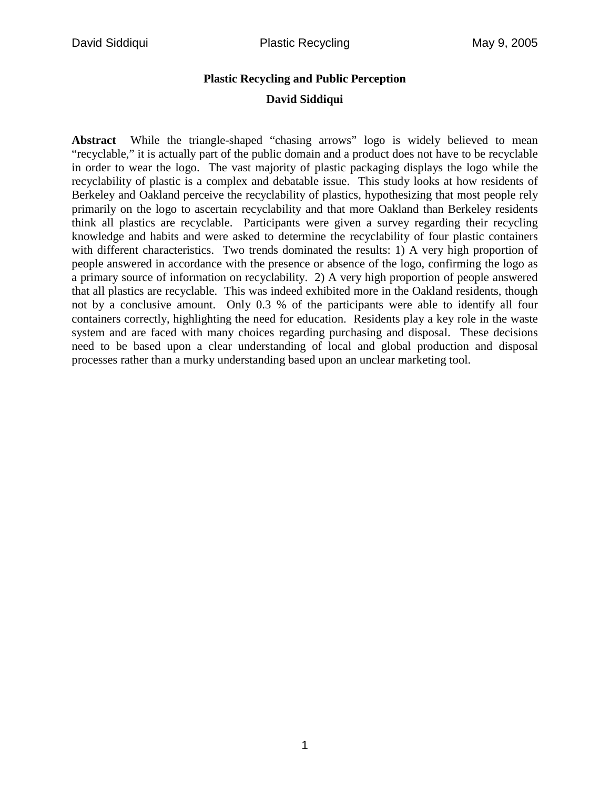# **Plastic Recycling and Public Perception David Siddiqui**

**Abstract** While the triangle-shaped "chasing arrows" logo is widely believed to mean "recyclable," it is actually part of the public domain and a product does not have to be recyclable in order to wear the logo. The vast majority of plastic packaging displays the logo while the recyclability of plastic is a complex and debatable issue. This study looks at how residents of Berkeley and Oakland perceive the recyclability of plastics, hypothesizing that most people rely primarily on the logo to ascertain recyclability and that more Oakland than Berkeley residents think all plastics are recyclable. Participants were given a survey regarding their recycling knowledge and habits and were asked to determine the recyclability of four plastic containers with different characteristics. Two trends dominated the results: 1) A very high proportion of people answered in accordance with the presence or absence of the logo, confirming the logo as a primary source of information on recyclability. 2) A very high proportion of people answered that all plastics are recyclable. This was indeed exhibited more in the Oakland residents, though not by a conclusive amount. Only 0.3 % of the participants were able to identify all four containers correctly, highlighting the need for education. Residents play a key role in the waste system and are faced with many choices regarding purchasing and disposal. These decisions need to be based upon a clear understanding of local and global production and disposal processes rather than a murky understanding based upon an unclear marketing tool.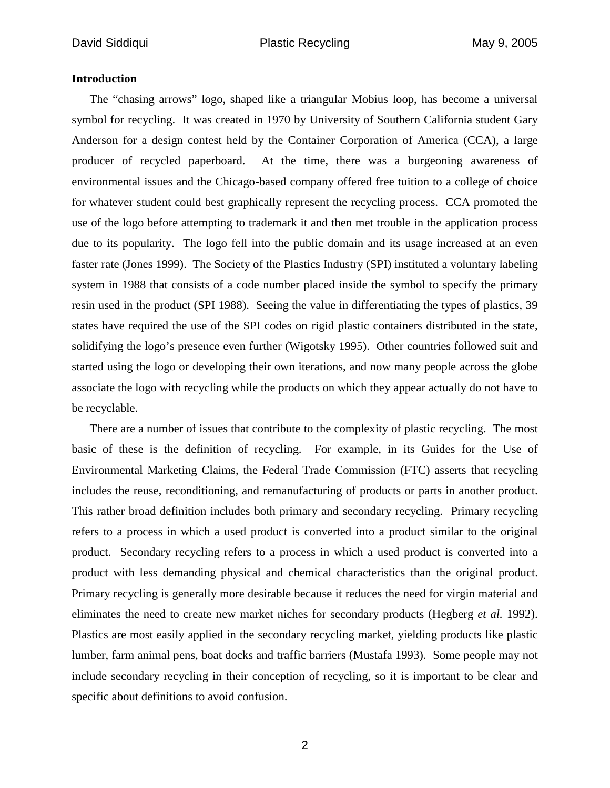## **Introduction**

The "chasing arrows" logo, shaped like a triangular Mobius loop, has become a universal symbol for recycling. It was created in 1970 by University of Southern California student Gary Anderson for a design contest held by the Container Corporation of America (CCA), a large producer of recycled paperboard. At the time, there was a burgeoning awareness of environmental issues and the Chicago-based company offered free tuition to a college of choice for whatever student could best graphically represent the recycling process. CCA promoted the use of the logo before attempting to trademark it and then met trouble in the application process due to its popularity. The logo fell into the public domain and its usage increased at an even faster rate (Jones 1999). The Society of the Plastics Industry (SPI) instituted a voluntary labeling system in 1988 that consists of a code number placed inside the symbol to specify the primary resin used in the product (SPI 1988). Seeing the value in differentiating the types of plastics, 39 states have required the use of the SPI codes on rigid plastic containers distributed in the state, solidifying the logo's presence even further (Wigotsky 1995). Other countries followed suit and started using the logo or developing their own iterations, and now many people across the globe associate the logo with recycling while the products on which they appear actually do not have to be recyclable.

There are a number of issues that contribute to the complexity of plastic recycling. The most basic of these is the definition of recycling. For example, in its Guides for the Use of Environmental Marketing Claims, the Federal Trade Commission (FTC) asserts that recycling includes the reuse, reconditioning, and remanufacturing of products or parts in another product. This rather broad definition includes both primary and secondary recycling. Primary recycling refers to a process in which a used product is converted into a product similar to the original product. Secondary recycling refers to a process in which a used product is converted into a product with less demanding physical and chemical characteristics than the original product. Primary recycling is generally more desirable because it reduces the need for virgin material and eliminates the need to create new market niches for secondary products (Hegberg *et al.* 1992). Plastics are most easily applied in the secondary recycling market, yielding products like plastic lumber, farm animal pens, boat docks and traffic barriers (Mustafa 1993). Some people may not include secondary recycling in their conception of recycling, so it is important to be clear and specific about definitions to avoid confusion.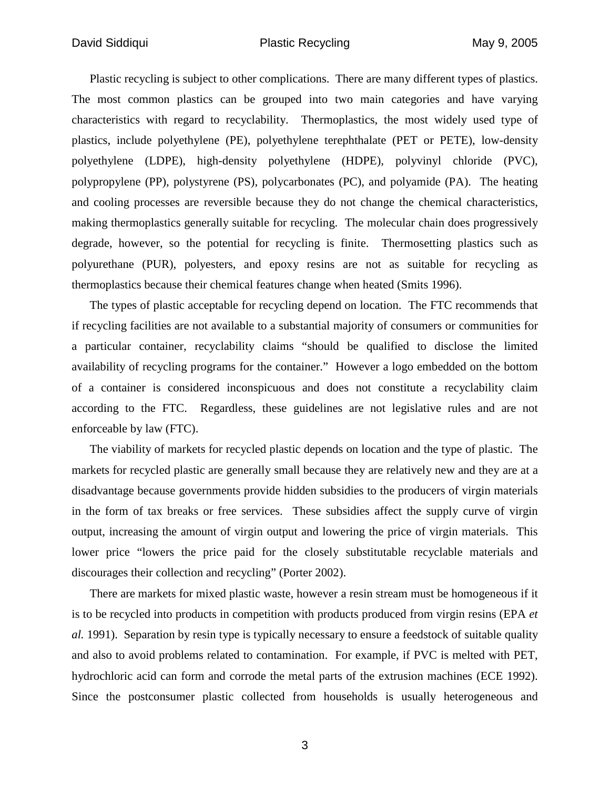Plastic recycling is subject to other complications. There are many different types of plastics. The most common plastics can be grouped into two main categories and have varying characteristics with regard to recyclability. Thermoplastics, the most widely used type of plastics, include polyethylene (PE), polyethylene terephthalate (PET or PETE), low-density polyethylene (LDPE), high-density polyethylene (HDPE), polyvinyl chloride (PVC), polypropylene (PP), polystyrene (PS), polycarbonates (PC), and polyamide (PA). The heating and cooling processes are reversible because they do not change the chemical characteristics, making thermoplastics generally suitable for recycling. The molecular chain does progressively degrade, however, so the potential for recycling is finite. Thermosetting plastics such as polyurethane (PUR), polyesters, and epoxy resins are not as suitable for recycling as thermoplastics because their chemical features change when heated (Smits 1996).

The types of plastic acceptable for recycling depend on location. The FTC recommends that if recycling facilities are not available to a substantial majority of consumers or communities for a particular container, recyclability claims "should be qualified to disclose the limited availability of recycling programs for the container." However a logo embedded on the bottom of a container is considered inconspicuous and does not constitute a recyclability claim according to the FTC. Regardless, these guidelines are not legislative rules and are not enforceable by law (FTC).

The viability of markets for recycled plastic depends on location and the type of plastic. The markets for recycled plastic are generally small because they are relatively new and they are at a disadvantage because governments provide hidden subsidies to the producers of virgin materials in the form of tax breaks or free services. These subsidies affect the supply curve of virgin output, increasing the amount of virgin output and lowering the price of virgin materials. This lower price "lowers the price paid for the closely substitutable recyclable materials and discourages their collection and recycling" (Porter 2002).

There are markets for mixed plastic waste, however a resin stream must be homogeneous if it is to be recycled into products in competition with products produced from virgin resins (EPA *et al.* 1991). Separation by resin type is typically necessary to ensure a feedstock of suitable quality and also to avoid problems related to contamination. For example, if PVC is melted with PET, hydrochloric acid can form and corrode the metal parts of the extrusion machines (ECE 1992). Since the postconsumer plastic collected from households is usually heterogeneous and

3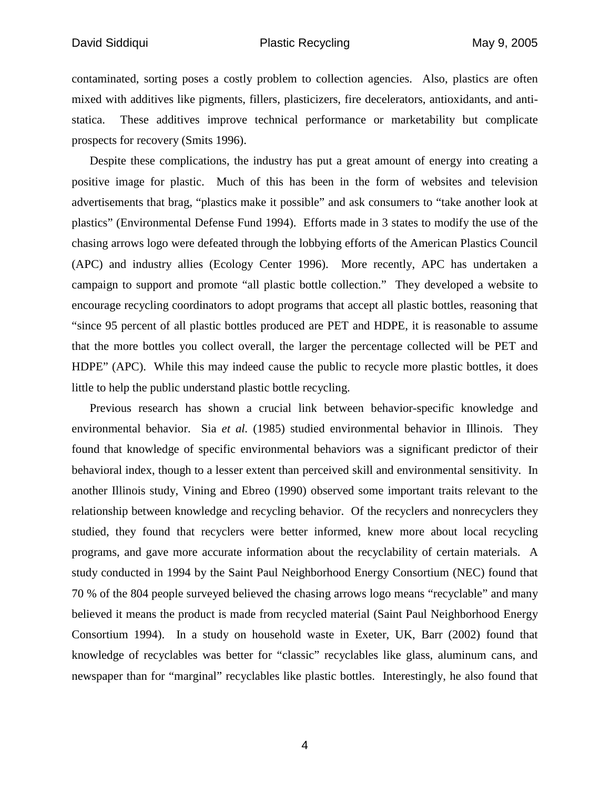contaminated, sorting poses a costly problem to collection agencies. Also, plastics are often mixed with additives like pigments, fillers, plasticizers, fire decelerators, antioxidants, and antistatica. These additives improve technical performance or marketability but complicate prospects for recovery (Smits 1996).

Despite these complications, the industry has put a great amount of energy into creating a positive image for plastic. Much of this has been in the form of websites and television advertisements that brag, "plastics make it possible" and ask consumers to "take another look at plastics" (Environmental Defense Fund 1994). Efforts made in 3 states to modify the use of the chasing arrows logo were defeated through the lobbying efforts of the American Plastics Council (APC) and industry allies (Ecology Center 1996). More recently, APC has undertaken a campaign to support and promote "all plastic bottle collection." They developed a website to encourage recycling coordinators to adopt programs that accept all plastic bottles, reasoning that "since 95 percent of all plastic bottles produced are PET and HDPE, it is reasonable to assume that the more bottles you collect overall, the larger the percentage collected will be PET and HDPE" (APC). While this may indeed cause the public to recycle more plastic bottles, it does little to help the public understand plastic bottle recycling.

Previous research has shown a crucial link between behavior-specific knowledge and environmental behavior. Sia *et al.* (1985) studied environmental behavior in Illinois. They found that knowledge of specific environmental behaviors was a significant predictor of their behavioral index, though to a lesser extent than perceived skill and environmental sensitivity. In another Illinois study, Vining and Ebreo (1990) observed some important traits relevant to the relationship between knowledge and recycling behavior. Of the recyclers and nonrecyclers they studied, they found that recyclers were better informed, knew more about local recycling programs, and gave more accurate information about the recyclability of certain materials. A study conducted in 1994 by the Saint Paul Neighborhood Energy Consortium (NEC) found that 70 % of the 804 people surveyed believed the chasing arrows logo means "recyclable" and many believed it means the product is made from recycled material (Saint Paul Neighborhood Energy Consortium 1994). In a study on household waste in Exeter, UK, Barr (2002) found that knowledge of recyclables was better for "classic" recyclables like glass, aluminum cans, and newspaper than for "marginal" recyclables like plastic bottles. Interestingly, he also found that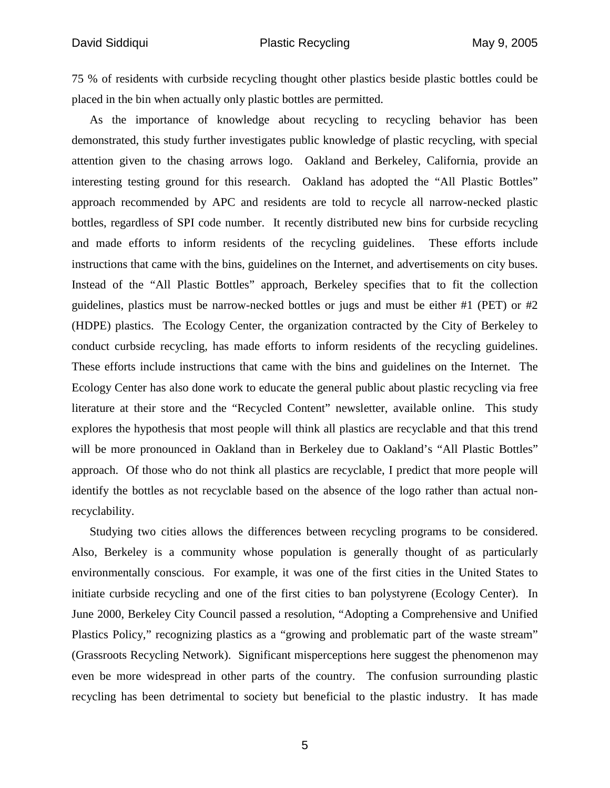75 % of residents with curbside recycling thought other plastics beside plastic bottles could be placed in the bin when actually only plastic bottles are permitted.

As the importance of knowledge about recycling to recycling behavior has been demonstrated, this study further investigates public knowledge of plastic recycling, with special attention given to the chasing arrows logo. Oakland and Berkeley, California, provide an interesting testing ground for this research. Oakland has adopted the "All Plastic Bottles" approach recommended by APC and residents are told to recycle all narrow-necked plastic bottles, regardless of SPI code number. It recently distributed new bins for curbside recycling and made efforts to inform residents of the recycling guidelines. These efforts include instructions that came with the bins, guidelines on the Internet, and advertisements on city buses. Instead of the "All Plastic Bottles" approach, Berkeley specifies that to fit the collection guidelines, plastics must be narrow-necked bottles or jugs and must be either #1 (PET) or #2 (HDPE) plastics. The Ecology Center, the organization contracted by the City of Berkeley to conduct curbside recycling, has made efforts to inform residents of the recycling guidelines. These efforts include instructions that came with the bins and guidelines on the Internet. The Ecology Center has also done work to educate the general public about plastic recycling via free literature at their store and the "Recycled Content" newsletter, available online. This study explores the hypothesis that most people will think all plastics are recyclable and that this trend will be more pronounced in Oakland than in Berkeley due to Oakland's "All Plastic Bottles" approach. Of those who do not think all plastics are recyclable, I predict that more people will identify the bottles as not recyclable based on the absence of the logo rather than actual nonrecyclability.

Studying two cities allows the differences between recycling programs to be considered. Also, Berkeley is a community whose population is generally thought of as particularly environmentally conscious. For example, it was one of the first cities in the United States to initiate curbside recycling and one of the first cities to ban polystyrene (Ecology Center). In June 2000, Berkeley City Council passed a resolution, "Adopting a Comprehensive and Unified Plastics Policy," recognizing plastics as a "growing and problematic part of the waste stream" (Grassroots Recycling Network). Significant misperceptions here suggest the phenomenon may even be more widespread in other parts of the country. The confusion surrounding plastic recycling has been detrimental to society but beneficial to the plastic industry. It has made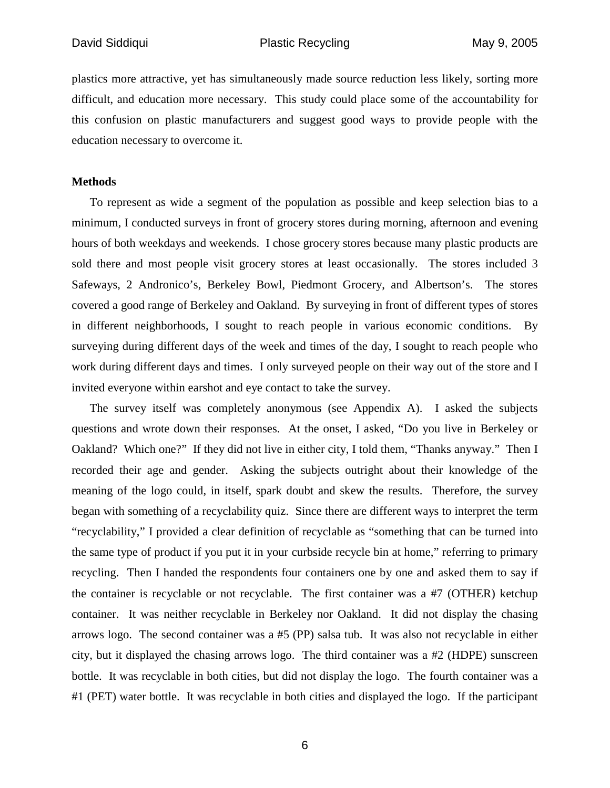plastics more attractive, yet has simultaneously made source reduction less likely, sorting more difficult, and education more necessary. This study could place some of the accountability for this confusion on plastic manufacturers and suggest good ways to provide people with the education necessary to overcome it.

#### **Methods**

To represent as wide a segment of the population as possible and keep selection bias to a minimum, I conducted surveys in front of grocery stores during morning, afternoon and evening hours of both weekdays and weekends. I chose grocery stores because many plastic products are sold there and most people visit grocery stores at least occasionally. The stores included 3 Safeways, 2 Andronico's, Berkeley Bowl, Piedmont Grocery, and Albertson's. The stores covered a good range of Berkeley and Oakland. By surveying in front of different types of stores in different neighborhoods, I sought to reach people in various economic conditions. By surveying during different days of the week and times of the day, I sought to reach people who work during different days and times. I only surveyed people on their way out of the store and I invited everyone within earshot and eye contact to take the survey.

The survey itself was completely anonymous (see Appendix A). I asked the subjects questions and wrote down their responses. At the onset, I asked, "Do you live in Berkeley or Oakland? Which one?" If they did not live in either city, I told them, "Thanks anyway." Then I recorded their age and gender. Asking the subjects outright about their knowledge of the meaning of the logo could, in itself, spark doubt and skew the results. Therefore, the survey began with something of a recyclability quiz. Since there are different ways to interpret the term "recyclability," I provided a clear definition of recyclable as "something that can be turned into the same type of product if you put it in your curbside recycle bin at home," referring to primary recycling. Then I handed the respondents four containers one by one and asked them to say if the container is recyclable or not recyclable. The first container was a #7 (OTHER) ketchup container. It was neither recyclable in Berkeley nor Oakland. It did not display the chasing arrows logo. The second container was a #5 (PP) salsa tub. It was also not recyclable in either city, but it displayed the chasing arrows logo. The third container was a #2 (HDPE) sunscreen bottle. It was recyclable in both cities, but did not display the logo. The fourth container was a #1 (PET) water bottle. It was recyclable in both cities and displayed the logo. If the participant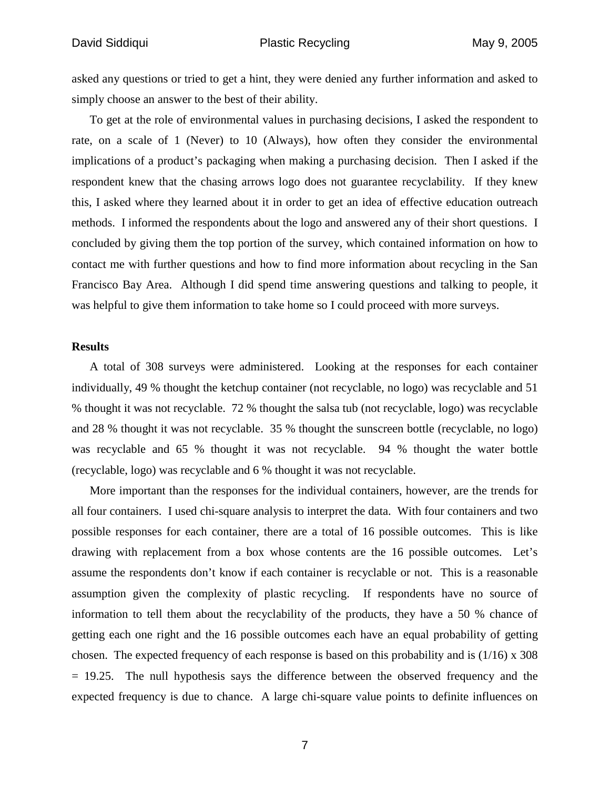asked any questions or tried to get a hint, they were denied any further information and asked to simply choose an answer to the best of their ability.

To get at the role of environmental values in purchasing decisions, I asked the respondent to rate, on a scale of 1 (Never) to 10 (Always), how often they consider the environmental implications of a product's packaging when making a purchasing decision. Then I asked if the respondent knew that the chasing arrows logo does not guarantee recyclability. If they knew this, I asked where they learned about it in order to get an idea of effective education outreach methods. I informed the respondents about the logo and answered any of their short questions. I concluded by giving them the top portion of the survey, which contained information on how to contact me with further questions and how to find more information about recycling in the San Francisco Bay Area. Although I did spend time answering questions and talking to people, it was helpful to give them information to take home so I could proceed with more surveys.

#### **Results**

A total of 308 surveys were administered. Looking at the responses for each container individually, 49 % thought the ketchup container (not recyclable, no logo) was recyclable and 51 % thought it was not recyclable. 72 % thought the salsa tub (not recyclable, logo) was recyclable and 28 % thought it was not recyclable. 35 % thought the sunscreen bottle (recyclable, no logo) was recyclable and 65 % thought it was not recyclable. 94 % thought the water bottle (recyclable, logo) was recyclable and 6 % thought it was not recyclable.

More important than the responses for the individual containers, however, are the trends for all four containers. I used chi-square analysis to interpret the data. With four containers and two possible responses for each container, there are a total of 16 possible outcomes. This is like drawing with replacement from a box whose contents are the 16 possible outcomes. Let's assume the respondents don't know if each container is recyclable or not. This is a reasonable assumption given the complexity of plastic recycling. If respondents have no source of information to tell them about the recyclability of the products, they have a 50 % chance of getting each one right and the 16 possible outcomes each have an equal probability of getting chosen. The expected frequency of each response is based on this probability and is  $(1/16)$  x 308 = 19.25. The null hypothesis says the difference between the observed frequency and the expected frequency is due to chance. A large chi-square value points to definite influences on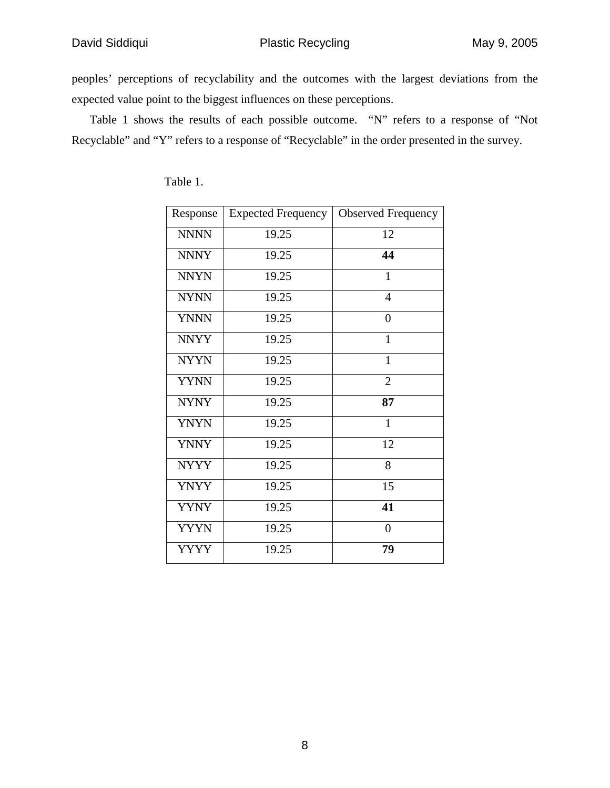peoples' perceptions of recyclability and the outcomes with the largest deviations from the expected value point to the biggest influences on these perceptions.

Table 1 shows the results of each possible outcome. "N" refers to a response of "Not Recyclable" and "Y" refers to a response of "Recyclable" in the order presented in the survey.

| Response    | <b>Expected Frequency</b> | <b>Observed Frequency</b> |
|-------------|---------------------------|---------------------------|
| <b>NNNN</b> | 19.25                     | 12                        |
| <b>NNNY</b> | 19.25                     | 44                        |
| <b>NNYN</b> | 19.25                     | $\mathbf{1}$              |
| <b>NYNN</b> | 19.25                     | $\overline{4}$            |
| <b>YNNN</b> | 19.25                     | $\overline{0}$            |
| <b>NNYY</b> | 19.25                     | $\mathbf{1}$              |
| <b>NYYN</b> | 19.25                     | $\mathbf{1}$              |
| <b>YYNN</b> | 19.25                     | $\overline{2}$            |
| <b>NYNY</b> | 19.25                     | 87                        |
| <b>YNYN</b> | 19.25                     | $\mathbf{1}$              |
| <b>YNNY</b> | 19.25                     | 12                        |
| <b>NYYY</b> | 19.25                     | 8                         |
| <b>YNYY</b> | 19.25                     | 15                        |
| <b>YYNY</b> | 19.25                     | 41                        |
| <b>YYYN</b> | 19.25                     | $\boldsymbol{0}$          |
| YYYY        | 19.25                     | 79                        |

Table 1.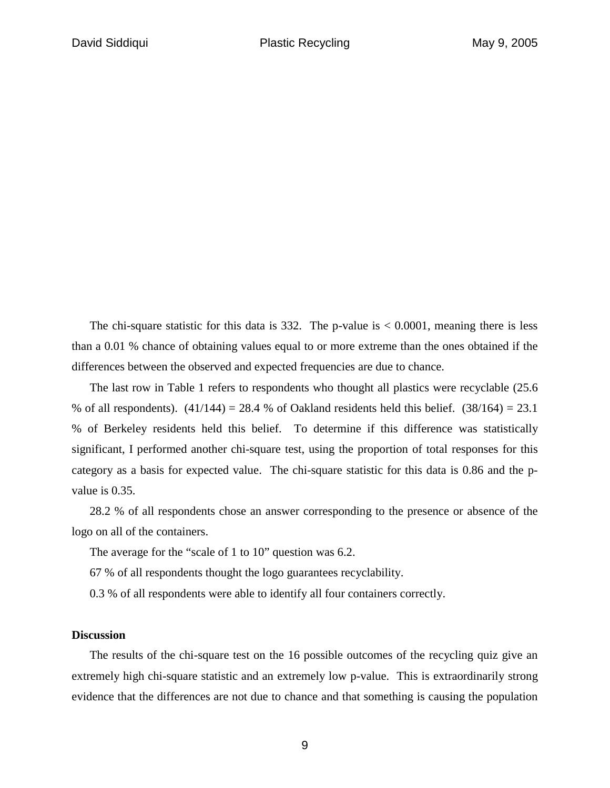The chi-square statistic for this data is 332. The p-value is  $< 0.0001$ , meaning there is less than a 0.01 % chance of obtaining values equal to or more extreme than the ones obtained if the differences between the observed and expected frequencies are due to chance.

The last row in Table 1 refers to respondents who thought all plastics were recyclable (25.6 % of all respondents).  $(41/144) = 28.4$  % of Oakland residents held this belief.  $(38/164) = 23.1$ % of Berkeley residents held this belief. To determine if this difference was statistically significant, I performed another chi-square test, using the proportion of total responses for this category as a basis for expected value. The chi-square statistic for this data is 0.86 and the pvalue is 0.35.

28.2 % of all respondents chose an answer corresponding to the presence or absence of the logo on all of the containers.

The average for the "scale of 1 to 10" question was 6.2.

67 % of all respondents thought the logo guarantees recyclability.

0.3 % of all respondents were able to identify all four containers correctly.

## **Discussion**

The results of the chi-square test on the 16 possible outcomes of the recycling quiz give an extremely high chi-square statistic and an extremely low p-value. This is extraordinarily strong evidence that the differences are not due to chance and that something is causing the population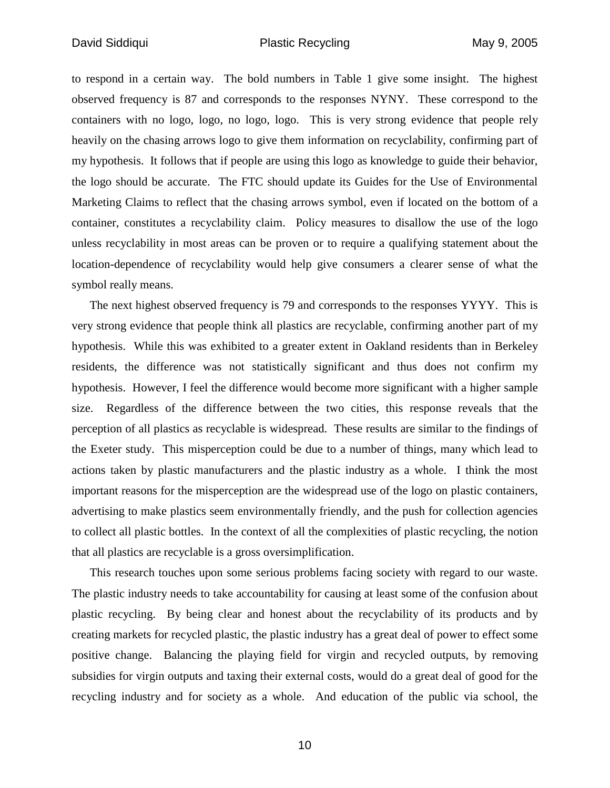to respond in a certain way. The bold numbers in Table 1 give some insight. The highest observed frequency is 87 and corresponds to the responses NYNY. These correspond to the containers with no logo, logo, no logo, logo. This is very strong evidence that people rely heavily on the chasing arrows logo to give them information on recyclability, confirming part of my hypothesis. It follows that if people are using this logo as knowledge to guide their behavior, the logo should be accurate. The FTC should update its Guides for the Use of Environmental Marketing Claims to reflect that the chasing arrows symbol, even if located on the bottom of a container, constitutes a recyclability claim. Policy measures to disallow the use of the logo unless recyclability in most areas can be proven or to require a qualifying statement about the location-dependence of recyclability would help give consumers a clearer sense of what the symbol really means.

The next highest observed frequency is 79 and corresponds to the responses YYYY. This is very strong evidence that people think all plastics are recyclable, confirming another part of my hypothesis. While this was exhibited to a greater extent in Oakland residents than in Berkeley residents, the difference was not statistically significant and thus does not confirm my hypothesis. However, I feel the difference would become more significant with a higher sample size. Regardless of the difference between the two cities, this response reveals that the perception of all plastics as recyclable is widespread. These results are similar to the findings of the Exeter study. This misperception could be due to a number of things, many which lead to actions taken by plastic manufacturers and the plastic industry as a whole. I think the most important reasons for the misperception are the widespread use of the logo on plastic containers, advertising to make plastics seem environmentally friendly, and the push for collection agencies to collect all plastic bottles. In the context of all the complexities of plastic recycling, the notion that all plastics are recyclable is a gross oversimplification.

This research touches upon some serious problems facing society with regard to our waste. The plastic industry needs to take accountability for causing at least some of the confusion about plastic recycling. By being clear and honest about the recyclability of its products and by creating markets for recycled plastic, the plastic industry has a great deal of power to effect some positive change. Balancing the playing field for virgin and recycled outputs, by removing subsidies for virgin outputs and taxing their external costs, would do a great deal of good for the recycling industry and for society as a whole. And education of the public via school, the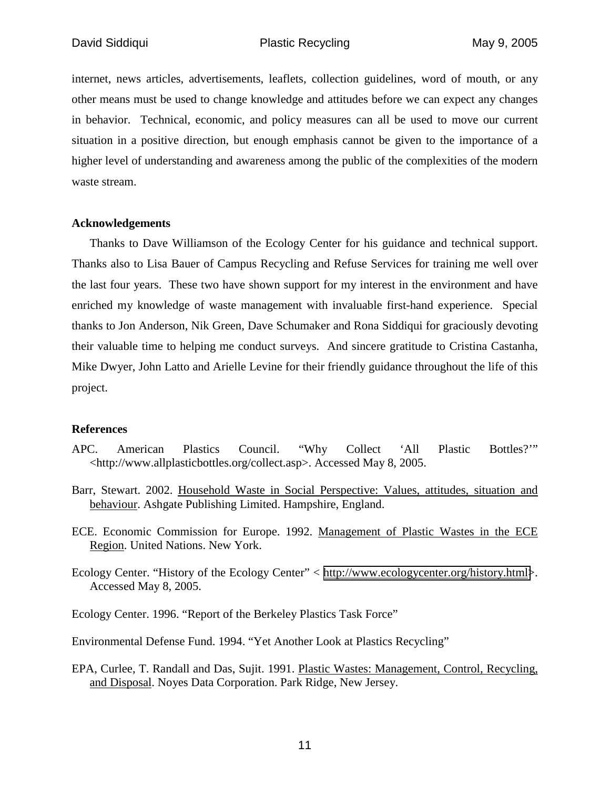internet, news articles, advertisements, leaflets, collection guidelines, word of mouth, or any other means must be used to change knowledge and attitudes before we can expect any changes in behavior. Technical, economic, and policy measures can all be used to move our current situation in a positive direction, but enough emphasis cannot be given to the importance of a higher level of understanding and awareness among the public of the complexities of the modern waste stream.

## **Acknowledgements**

Thanks to Dave Williamson of the Ecology Center for his guidance and technical support. Thanks also to Lisa Bauer of Campus Recycling and Refuse Services for training me well over the last four years. These two have shown support for my interest in the environment and have enriched my knowledge of waste management with invaluable first-hand experience. Special thanks to Jon Anderson, Nik Green, Dave Schumaker and Rona Siddiqui for graciously devoting their valuable time to helping me conduct surveys. And sincere gratitude to Cristina Castanha, Mike Dwyer, John Latto and Arielle Levine for their friendly guidance throughout the life of this project.

### **References**

- APC. American Plastics Council. "Why Collect 'All Plastic Bottles?'" <http://www.allplasticbottles.org/collect.asp>. Accessed May 8, 2005.
- Barr, Stewart. 2002. Household Waste in Social Perspective: Values, attitudes, situation and behaviour. Ashgate Publishing Limited. Hampshire, England.
- ECE. Economic Commission for Europe. 1992. Management of Plastic Wastes in the ECE Region. United Nations. New York.
- Ecology Center. "History of the Ecology Center" < [http://www.ecologycenter.org/history.html>](http://www.ecologycenter.org/history.html). Accessed May 8, 2005.

Ecology Center. 1996. "Report of the Berkeley Plastics Task Force"

Environmental Defense Fund. 1994. "Yet Another Look at Plastics Recycling"

EPA, Curlee, T. Randall and Das, Sujit. 1991. Plastic Wastes: Management, Control, Recycling, and Disposal. Noyes Data Corporation. Park Ridge, New Jersey.